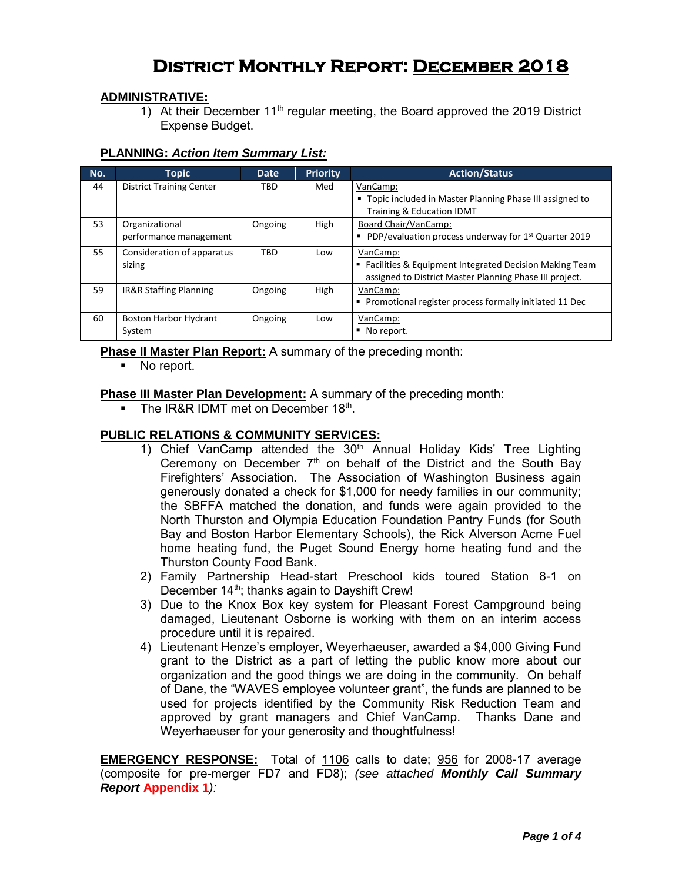# **District Monthly Report: December 2018**

## **ADMINISTRATIVE:**

1) At their December 11<sup>th</sup> regular meeting, the Board approved the 2019 District Expense Budget.

## **PLANNING:** *Action Item Summary List:*

| No. | <b>Topic</b>                      | <b>Date</b> | <b>Priority</b> | <b>Action/Status</b>                                             |
|-----|-----------------------------------|-------------|-----------------|------------------------------------------------------------------|
| 44  | <b>District Training Center</b>   | <b>TBD</b>  | Med             | VanCamp:                                                         |
|     |                                   |             |                 | " Topic included in Master Planning Phase III assigned to        |
|     |                                   |             |                 | Training & Education IDMT                                        |
| 53  | Organizational                    | Ongoing     | High            | Board Chair/VanCamp:                                             |
|     | performance management            |             |                 | PDP/evaluation process underway for 1 <sup>st</sup> Quarter 2019 |
| 55  | Consideration of apparatus        | TBD         | Low             | VanCamp:                                                         |
|     | sizing                            |             |                 | ■ Facilities & Equipment Integrated Decision Making Team         |
|     |                                   |             |                 | assigned to District Master Planning Phase III project.          |
| 59  | <b>IR&amp;R Staffing Planning</b> | Ongoing     | High            | VanCamp:                                                         |
|     |                                   |             |                 | • Promotional register process formally initiated 11 Dec         |
| 60  | <b>Boston Harbor Hydrant</b>      | Ongoing     | Low             | VanCamp:                                                         |
|     | System                            |             |                 | No report.                                                       |

**Phase II Master Plan Report:** A summary of the preceding month:

• No report.

## **Phase III Master Plan Development:** A summary of the preceding month:

The IR&R IDMT met on December  $18<sup>th</sup>$ .

## **PUBLIC RELATIONS & COMMUNITY SERVICES:**

- 1) Chief VanCamp attended the  $30<sup>th</sup>$  Annual Holiday Kids' Tree Lighting Ceremony on December  $7<sup>th</sup>$  on behalf of the District and the South Bay Firefighters' Association. The Association of Washington Business again generously donated a check for \$1,000 for needy families in our community; the SBFFA matched the donation, and funds were again provided to the North Thurston and Olympia Education Foundation Pantry Funds (for South Bay and Boston Harbor Elementary Schools), the Rick Alverson Acme Fuel home heating fund, the Puget Sound Energy home heating fund and the Thurston County Food Bank.
- 2) Family Partnership Head-start Preschool kids toured Station 8-1 on December 14<sup>th</sup>; thanks again to Dayshift Crew!
- 3) Due to the Knox Box key system for Pleasant Forest Campground being damaged, Lieutenant Osborne is working with them on an interim access procedure until it is repaired.
- 4) Lieutenant Henze's employer, Weyerhaeuser, awarded a \$4,000 Giving Fund grant to the District as a part of letting the public know more about our organization and the good things we are doing in the community. On behalf of Dane, the "WAVES employee volunteer grant", the funds are planned to be used for projects identified by the Community Risk Reduction Team and approved by grant managers and Chief VanCamp. Thanks Dane and Weyerhaeuser for your generosity and thoughtfulness!

**EMERGENCY RESPONSE:** Total of 1106 calls to date; 956 for 2008-17 average (composite for pre-merger FD7 and FD8); *(see attached Monthly Call Summary Report* **Appendix 1***):*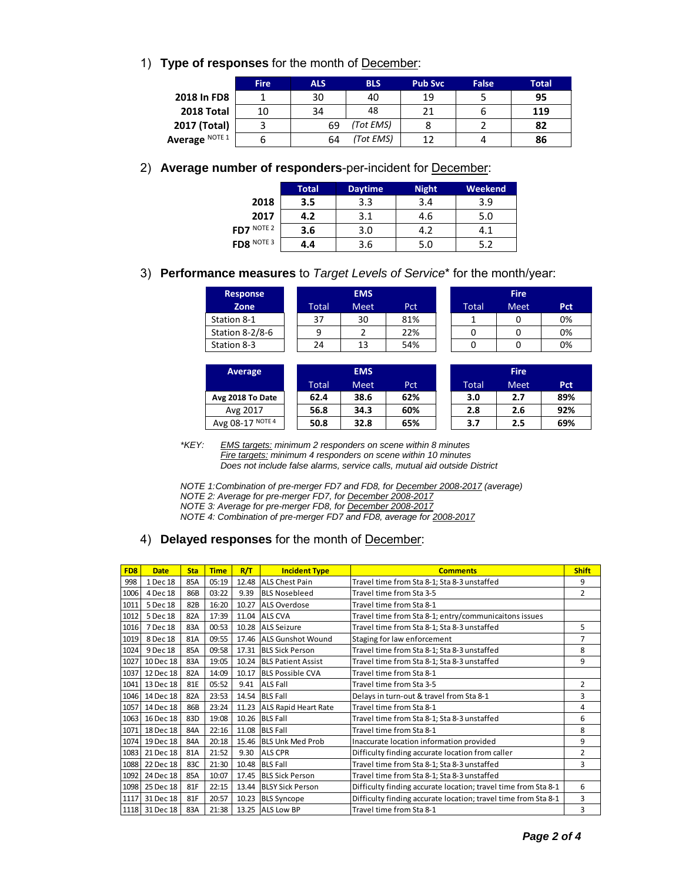1) **Type of responses** for the month of December:

|                | <b>Fire</b> | <b>ALS</b> | <b>BLS</b> | <b>Pub Svc</b> | False | Total |
|----------------|-------------|------------|------------|----------------|-------|-------|
| 2018 In FD8    |             | 30         | 40         | 19             |       | 95    |
| 2018 Total     | 10          | 34         | 48         | 21             |       | 119   |
| 2017 (Total)   |             | 69         | (Tot EMS)  |                |       | 82    |
| Average NOTE 1 |             | 64         | (Tot EMS)  | 12             |       | 86    |

## 2) **Average number of responders**-per-incident for December:

|                         | Total | <b>Daytime</b> | <b>Night</b> | Weekend |
|-------------------------|-------|----------------|--------------|---------|
| 2018                    | 3.5   | 3.3            | 3.4          | 3.9     |
| 2017                    | 4.2   | 3.1            | 4.6          | 5.0     |
| FD7 $^{\text{NOTE } 2}$ | 3.6   | 3.0            | 4.2          | 4.1     |
| FD8 $N$ OTE 3           | 4.4   | 3.6            | 5.0          | 5.2     |

## 3) **Performance measures** to *Target Levels of Service*\* for the month/year:

| <b>Response</b> |       | <b>EMS</b>  |     | <b>Fire</b>  |      |     |  |  |
|-----------------|-------|-------------|-----|--------------|------|-----|--|--|
| Zone            | Total | <b>Meet</b> | Pct | <b>Total</b> | Meet | Pct |  |  |
| Station 8-1     | 37    | 30          | 81% |              |      | 0%  |  |  |
| Station 8-2/8-6 | a     |             | 22% |              |      | 0%  |  |  |
| Station 8-3     | 24    | 13          | 54% |              |      | 0%  |  |  |

| <b>Average</b>   | <b>EMS</b> |      |     |  | <b>Fire</b> |             |            |  |  |  |
|------------------|------------|------|-----|--|-------------|-------------|------------|--|--|--|
|                  | Total      | Meet | Pct |  | Total       | <b>Meet</b> | <b>Pct</b> |  |  |  |
| Avg 2018 To Date | 62.4       | 38.6 | 62% |  | 3.0         | 2.7         | 89%        |  |  |  |
| Avg 2017         | 56.8       | 34.3 | 60% |  | 2.8         | 2.6         | 92%        |  |  |  |
| Avg 08-17 NOTE 4 | 50.8       | 32.8 | 65% |  | 3.7         | 2.5         | 69%        |  |  |  |

|       | <b>Fire</b> |     |
|-------|-------------|-----|
| Total | Meet        | Pct |
|       | n           | 0%  |
| n     | n           | 0%  |
| n     | n           | 0%  |

|       | <b>Fire</b> |            |
|-------|-------------|------------|
| Total | Meet        | <b>Pct</b> |
| 3.0   | 2.7         | 89%        |
| 2.8   | 2.6         | 92%        |
| 3.7   | 2.5         | 69%        |

*\*KEY: EMS targets: minimum 2 responders on scene within 8 minutes Fire targets: minimum 4 responders on scene within 10 minutes Does not include false alarms, service calls, mutual aid outside District* 

*NOTE 1: Combination of pre-merger FD7 and FD8, for December 2008-2017 (average)* 

*NOTE 2: Average for pre-merger FD7, for December 2008-2017* 

*NOTE 3: Average for pre-merger FD8, for December 2008-2017* 

*NOTE 4: Combination of pre-merger FD7 and FD8, average for 2008-2017* 

## 4) **Delayed responses** for the month of December:

|                 | <u>NOTE 4. Compilation of pre-merger FDT and FD0, average for 2000-2017</u> |            |             |       |                                                     |                                                                |                |  |  |  |
|-----------------|-----------------------------------------------------------------------------|------------|-------------|-------|-----------------------------------------------------|----------------------------------------------------------------|----------------|--|--|--|
|                 | 4)                                                                          |            |             |       | <b>Delayed responses</b> for the month of December: |                                                                |                |  |  |  |
|                 |                                                                             |            |             |       |                                                     |                                                                |                |  |  |  |
|                 |                                                                             |            |             |       |                                                     |                                                                |                |  |  |  |
| FD <sub>8</sub> | <b>Date</b>                                                                 | <b>Sta</b> | <b>Time</b> | R/T   | <b>Incident Type</b>                                | <b>Comments</b>                                                | <b>Shift</b>   |  |  |  |
| 998             | 1 Dec 18                                                                    | 85A        | 05:19       | 12.48 | <b>ALS Chest Pain</b>                               | Travel time from Sta 8-1; Sta 8-3 unstaffed                    | 9              |  |  |  |
| 1006            | 4 Dec 18                                                                    | 86B        | 03:22       | 9.39  | <b>BLS Nosebleed</b>                                | Travel time from Sta 3-5                                       | $\overline{2}$ |  |  |  |
| 1011            | 5 Dec 18                                                                    | 82B        | 16:20       | 10.27 | <b>ALS Overdose</b>                                 | Travel time from Sta 8-1                                       |                |  |  |  |
| 1012            | 5 Dec 18                                                                    | 82A        | 17:39       | 11.04 | <b>ALS CVA</b>                                      | Travel time from Sta 8-1; entry/communicaitons issues          |                |  |  |  |
| 1016            | 7 Dec 18                                                                    | 83A        | 00:53       | 10.28 | <b>ALS Seizure</b>                                  | Travel time from Sta 8-1; Sta 8-3 unstaffed                    | 5              |  |  |  |
| 1019            | 8 Dec 18                                                                    | 81A        | 09:55       | 17.46 | <b>ALS Gunshot Wound</b>                            | Staging for law enforcement                                    | $\overline{7}$ |  |  |  |
| 1024            | 9 Dec 18                                                                    | 85A        | 09:58       |       | 17.31 BLS Sick Person                               | Travel time from Sta 8-1; Sta 8-3 unstaffed                    | 8              |  |  |  |
| 1027            | 10 Dec 18                                                                   | 83A        | 19:05       | 10.24 | <b>BLS Patient Assist</b>                           | Travel time from Sta 8-1; Sta 8-3 unstaffed                    | 9              |  |  |  |
| 1037            | 12 Dec 18                                                                   | 82A        | 14:09       | 10.17 | <b>BLS Possible CVA</b>                             | Travel time from Sta 8-1                                       |                |  |  |  |
| 1041            | 13 Dec 18                                                                   | 81E        | 05:52       | 9.41  | <b>ALS Fall</b>                                     | Travel time from Sta 3-5                                       | $\overline{2}$ |  |  |  |
|                 | 1046 14 Dec 18                                                              | 82A        | 23:53       |       | 14.54 BLS Fall                                      | Delays in turn-out & travel from Sta 8-1                       | 3              |  |  |  |
| 1057            | 14 Dec 18                                                                   | 86B        | 23:24       | 11.23 | <b>ALS Rapid Heart Rate</b>                         | Travel time from Sta 8-1                                       | 4              |  |  |  |
| 1063            | 16 Dec 18                                                                   | 83D        | 19:08       | 10.26 | <b>BLS Fall</b>                                     | Travel time from Sta 8-1; Sta 8-3 unstaffed                    | 6              |  |  |  |
| 1071            | 18 Dec 18                                                                   | 84A        | 22:16       | 11.08 | <b>BLS Fall</b>                                     | Travel time from Sta 8-1                                       | 8              |  |  |  |
|                 | 1074 19 Dec 18                                                              | 84A        | 20:18       | 15.46 | <b>BLS Unk Med Prob</b>                             | Inaccurate location information provided                       | 9              |  |  |  |
| 1083            | 21 Dec 18                                                                   | 81A        | 21:52       | 9.30  | <b>ALS CPR</b>                                      | Difficulty finding accurate location from caller               | 2              |  |  |  |
| 1088            | 22 Dec 18                                                                   | 83C        | 21:30       | 10.48 | <b>BLS Fall</b>                                     | Travel time from Sta 8-1; Sta 8-3 unstaffed                    | 3              |  |  |  |
| 1092            | 24 Dec 18                                                                   | 85A        | 10:07       | 17.45 | <b>BLS Sick Person</b>                              | Travel time from Sta 8-1; Sta 8-3 unstaffed                    |                |  |  |  |
| 1098            | 25 Dec 18                                                                   | 81F        | 22:15       | 13.44 | <b>BLSY Sick Person</b>                             | Difficulty finding accurate location; travel time from Sta 8-1 | 6              |  |  |  |
| 1117            | 31 Dec 18                                                                   | 81F        | 20:57       | 10.23 | <b>BLS Syncope</b>                                  | Difficulty finding accurate location; travel time from Sta 8-1 | 3              |  |  |  |
|                 | 1118 31 Dec 18                                                              | 83A        | 21:38       | 13.25 | <b>ALS Low BP</b>                                   | Travel time from Sta 8-1                                       | 3              |  |  |  |
|                 |                                                                             |            |             |       |                                                     |                                                                |                |  |  |  |
|                 |                                                                             |            |             |       |                                                     |                                                                |                |  |  |  |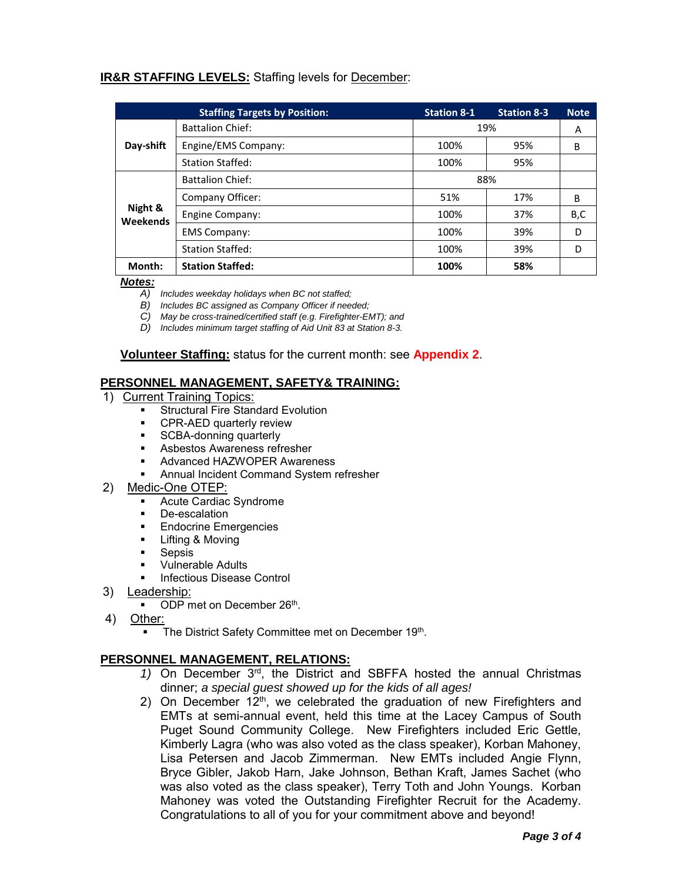## **IR&R STAFFING LEVELS:** Staffing levels for December:

|                     | <b>Staffing Targets by Position:</b> | <b>Station 8-1</b> | <b>Station 8-3</b> | <b>Note</b> |
|---------------------|--------------------------------------|--------------------|--------------------|-------------|
| Day-shift           | <b>Battalion Chief:</b>              | 19%                | A                  |             |
|                     | Engine/EMS Company:                  | 100%               | 95%                | B           |
|                     | <b>Station Staffed:</b>              | 100%               | 95%                |             |
|                     | <b>Battalion Chief:</b>              | 88%                |                    |             |
|                     | Company Officer:                     | 51%                | 17%                | B           |
| Night &<br>Weekends | Engine Company:                      | 100%               | 37%                | B,C         |
|                     | <b>EMS Company:</b>                  | 100%               | 39%                | D           |
|                     | <b>Station Staffed:</b>              | 100%               | 39%                | D           |
| Month:              | <b>Station Staffed:</b>              | 100%               | 58%                |             |

#### *Notes:*

- *A) Includes weekday holidays when BC not staffed;*
- *B) Includes BC assigned as Company Officer if needed;*
- *C) May be cross-trained/certified staff (e.g. Firefighter-EMT); and*
- *D) Includes minimum target staffing of Aid Unit 83 at Station 8-3.*

**Volunteer Staffing:** status for the current month: see **Appendix 2**.

## **PERSONNEL MANAGEMENT, SAFETY& TRAINING:**

- 1) Current Training Topics:
	- Structural Fire Standard Evolution
	- **•** CPR-AED quarterly review
	- **SCBA-donning quarterly**
	- Asbestos Awareness refresher
	- **Advanced HAZWOPER Awareness**
	- Annual Incident Command System refresher
- 2) Medic-One OTEP:
	- Acute Cardiac Syndrome
	- **De-escalation**
	- **Endocrine Emergencies**
	- **Lifting & Moving**
	- **Sepsis**
	- Vulnerable Adults
	- Infectious Disease Control
- 3) Leadership:
	- **DDP** met on December 26<sup>th</sup>.
- 4) Other:
	- **The District Safety Committee met on December 19th.**

## **PERSONNEL MANAGEMENT, RELATIONS:**

- 1) On December  $3<sup>rd</sup>$ , the District and SBFFA hosted the annual Christmas dinner; *a special guest showed up for the kids of all ages!*
- 2) On December  $12<sup>th</sup>$ , we celebrated the graduation of new Firefighters and EMTs at semi-annual event, held this time at the Lacey Campus of South Puget Sound Community College. New Firefighters included Eric Gettle, Kimberly Lagra (who was also voted as the class speaker), Korban Mahoney, Lisa Petersen and Jacob Zimmerman. New EMTs included Angie Flynn, Bryce Gibler, Jakob Harn, Jake Johnson, Bethan Kraft, James Sachet (who was also voted as the class speaker), Terry Toth and John Youngs. Korban Mahoney was voted the Outstanding Firefighter Recruit for the Academy. Congratulations to all of you for your commitment above and beyond!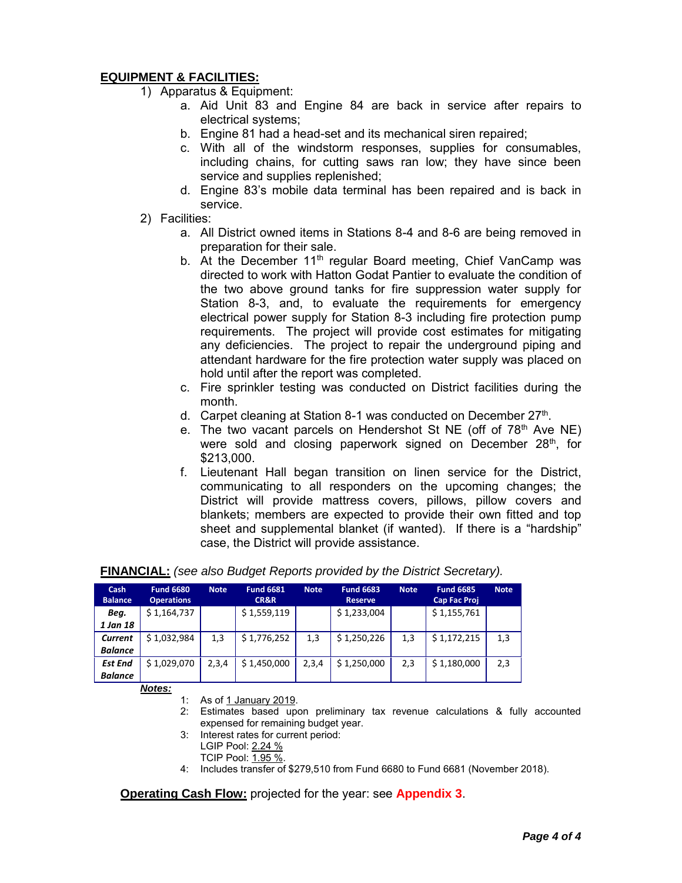## **EQUIPMENT & FACILITIES:**

- 1) Apparatus & Equipment:
	- a. Aid Unit 83 and Engine 84 are back in service after repairs to electrical systems;
	- b. Engine 81 had a head-set and its mechanical siren repaired;
	- c. With all of the windstorm responses, supplies for consumables, including chains, for cutting saws ran low; they have since been service and supplies replenished;
	- d. Engine 83's mobile data terminal has been repaired and is back in service.
- 2) Facilities:
	- a. All District owned items in Stations 8-4 and 8-6 are being removed in preparation for their sale.
	- b. At the December  $11<sup>th</sup>$  regular Board meeting, Chief VanCamp was directed to work with Hatton Godat Pantier to evaluate the condition of the two above ground tanks for fire suppression water supply for Station 8-3, and, to evaluate the requirements for emergency electrical power supply for Station 8-3 including fire protection pump requirements. The project will provide cost estimates for mitigating any deficiencies. The project to repair the underground piping and attendant hardware for the fire protection water supply was placed on hold until after the report was completed.
	- c. Fire sprinkler testing was conducted on District facilities during the month.
	- d. Carpet cleaning at Station 8-1 was conducted on December 27<sup>th</sup>.
	- e. The two vacant parcels on Hendershot St NE (off of  $78<sup>th</sup>$  Ave NE) were sold and closing paperwork signed on December  $28<sup>th</sup>$ , for \$213,000.
	- f. Lieutenant Hall began transition on linen service for the District, communicating to all responders on the upcoming changes; the District will provide mattress covers, pillows, pillow covers and blankets; members are expected to provide their own fitted and top sheet and supplemental blanket (if wanted). If there is a "hardship" case, the District will provide assistance.

| Cash<br><b>Balance</b> | <b>Fund 6680</b><br><b>Operations</b> | <b>Note</b> | <b>Fund 6681</b><br>CR&R | <b>Note</b> | <b>Fund 6683</b><br><b>Reserve</b> | <b>Note</b> | <b>Fund 6685</b><br><b>Cap Fac Proj</b> | <b>Note</b> |
|------------------------|---------------------------------------|-------------|--------------------------|-------------|------------------------------------|-------------|-----------------------------------------|-------------|
| Beg.                   | \$1,164,737                           |             | \$1,559,119              |             | \$1,233,004                        |             | \$1,155,761                             |             |
| 1 Jan 18               |                                       |             |                          |             |                                    |             |                                         |             |
| Current                | \$1,032,984                           | 1,3         | \$1,776,252              | 1,3         | \$1,250,226                        | 1,3         | \$1,172,215                             | 1,3         |
| <b>Balance</b>         |                                       |             |                          |             |                                    |             |                                         |             |
| <b>Est End</b>         | \$1,029,070                           | 2,3,4       | \$1,450,000              | 2,3,4       | \$1,250,000                        | 2,3         | \$1,180,000                             | 2,3         |
| <b>Balance</b>         |                                       |             |                          |             |                                    |             |                                         |             |

## **FINANCIAL:** *(see also Budget Reports provided by the District Secretary).*

*Notes:*

- 1: As of 1 January 2019.
- 2: Estimates based upon preliminary tax revenue calculations & fully accounted expensed for remaining budget year.
- 3: Interest rates for current period: LGIP Pool: 2.24 %
	- TCIP Pool: 1.95 %.
- 4: Includes transfer of \$279,510 from Fund 6680 to Fund 6681 (November 2018).

**Operating Cash Flow:** projected for the year: see **Appendix 3**.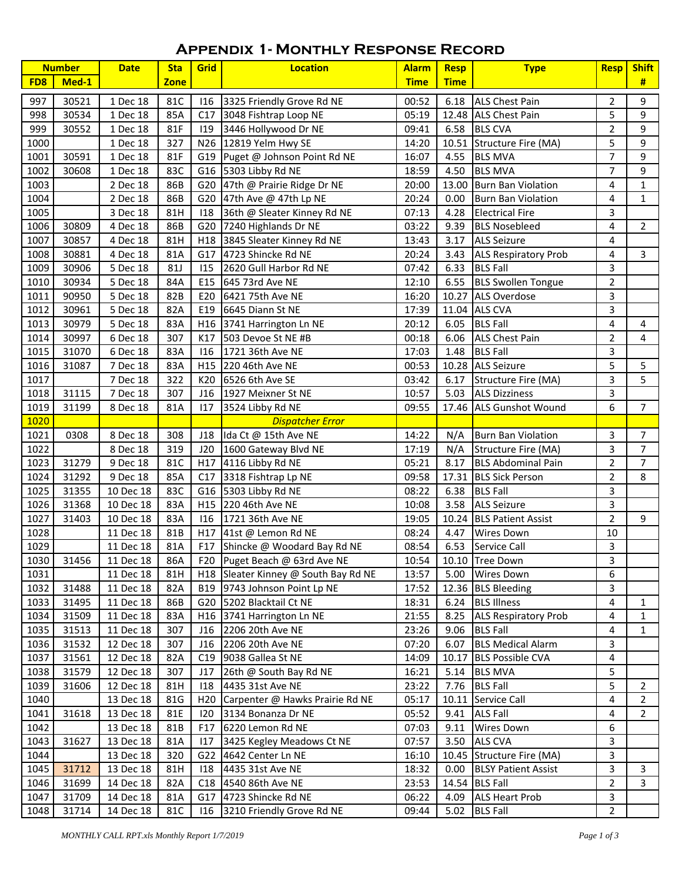## **Appendix 1- Monthly Response Record**

|                 | <b>Number</b>  | <b>Date</b>            | <b>Sta</b>  | Grid            | <b>Location</b>                                              | <b>Alarm</b>   | <b>Resp</b>       | <b>Type</b>                                     | <b>Resp</b>                  | <b>Shift</b>                     |
|-----------------|----------------|------------------------|-------------|-----------------|--------------------------------------------------------------|----------------|-------------------|-------------------------------------------------|------------------------------|----------------------------------|
| FD <sub>8</sub> | Med-1          |                        | <b>Zone</b> |                 |                                                              | <b>Time</b>    | <b>Time</b>       |                                                 |                              | #                                |
| 997             | 30521          | 1 Dec 18               | 81C         | 116             | 3325 Friendly Grove Rd NE                                    | 00:52          | 6.18              | <b>ALS Chest Pain</b>                           | 2                            | 9                                |
| 998             | 30534          | 1 Dec 18               | 85A         | C17             | 3048 Fishtrap Loop NE                                        | 05:19          |                   | 12.48 ALS Chest Pain                            | 5                            | 9                                |
| 999             | 30552          | 1 Dec 18               | 81F         | 119             | 3446 Hollywood Dr NE                                         | 09:41          |                   | 6.58 BLS CVA                                    | $\overline{2}$               | 9                                |
| 1000            |                | 1 Dec 18               | 327         |                 | N26 12819 Yelm Hwy SE                                        | 14:20          |                   | 10.51 Structure Fire (MA)                       | 5                            | 9                                |
| 1001            | 30591          | 1 Dec 18               | 81F         |                 | G19 Puget @ Johnson Point Rd NE                              | 16:07          | 4.55              | <b>BLS MVA</b>                                  | $\overline{7}$               | 9                                |
| 1002            | 30608          | 1 Dec 18               | 83C         |                 | G16 5303 Libby Rd NE                                         | 18:59          | 4.50              | <b>BLS MVA</b>                                  | $\overline{7}$               | 9                                |
| 1003            |                | 2 Dec 18               | 86B         |                 | G20 47th @ Prairie Ridge Dr NE                               | 20:00          |                   | 13.00 Burn Ban Violation                        | 4                            | $\mathbf{1}$                     |
| 1004            |                | 2 Dec 18               | 86B         |                 | G20 47th Ave @ 47th Lp NE                                    | 20:24          | 0.00              | <b>Burn Ban Violation</b>                       | 4                            | $\mathbf{1}$                     |
| 1005            |                | 3 Dec 18               | 81H         | 118             | 36th @ Sleater Kinney Rd NE                                  | 07:13          | 4.28              | <b>Electrical Fire</b>                          | 3                            |                                  |
| 1006            | 30809          | 4 Dec 18               | 86B         |                 | G20 7240 Highlands Dr NE                                     | 03:22          | 9.39              | <b>BLS Nosebleed</b>                            | $\overline{4}$               | $\overline{2}$                   |
| 1007            | 30857          | 4 Dec 18               | 81H         |                 | H18 3845 Sleater Kinney Rd NE                                | 13:43          | 3.17              | <b>ALS Seizure</b>                              | 4                            |                                  |
| 1008            | 30881          | 4 Dec 18               | 81A         |                 | G17 4723 Shincke Rd NE                                       | 20:24          | 3.43              |                                                 | 4                            | 3                                |
| 1009            | 30906          | 5 Dec 18               | <b>81J</b>  | 115             |                                                              | 07:42          | 6.33              | <b>ALS Respiratory Prob</b><br><b>BLS Fall</b>  | 3                            |                                  |
| 1010            | 30934          | 5 Dec 18               | 84A         | E15             | 2620 Gull Harbor Rd NE<br>645 73rd Ave NE                    | 12:10          | 6.55              | <b>BLS Swollen Tongue</b>                       | $\overline{2}$               |                                  |
| 1011            | 90950          | 5 Dec 18               | 82B         | E20             | 6421 75th Ave NE                                             | 16:20          |                   | 10.27 ALS Overdose                              | 3                            |                                  |
| 1012            | 30961          | 5 Dec 18               | 82A         | E19             | 6645 Diann St NE                                             | 17:39          |                   | 11.04 ALS CVA                                   | 3                            |                                  |
| 1013            | 30979          | 5 Dec 18               | 83A         |                 | H16 3741 Harrington Ln NE                                    | 20:12          | 6.05              | <b>BLS Fall</b>                                 | 4                            | 4                                |
| 1014            | 30997          |                        |             |                 | 503 Devoe St NE #B                                           |                |                   | <b>ALS Chest Pain</b>                           |                              | 4                                |
|                 |                | 6 Dec 18               | 307         | K17             | 1721 36th Ave NE                                             | 00:18          | 6.06              | <b>BLS Fall</b>                                 | $\overline{2}$<br>3          |                                  |
| 1015            | 31070          | 6 Dec 18               | 83A         | 116             | H15 220 46th Ave NE                                          | 17:03          | 1.48              | 10.28 ALS Seizure                               | 5                            | 5                                |
| 1016            | 31087          | 7 Dec 18               | 83A         |                 |                                                              | 00:53          |                   |                                                 |                              |                                  |
| 1017            |                | 7 Dec 18               | 322         | K20             | 6526 6th Ave SE                                              | 03:42          | 6.17              | Structure Fire (MA)                             | 3                            | 5                                |
| 1018            | 31115          | 7 Dec 18               | 307         | J16             | 1927 Meixner St NE                                           | 10:57          | 5.03              | <b>ALS Dizziness</b>                            | 3<br>6                       | $\overline{7}$                   |
| 1019<br>1020    | 31199          | 8 Dec 18               | 81A         | 117             | 3524 Libby Rd NE                                             | 09:55          |                   | 17.46 ALS Gunshot Wound                         |                              |                                  |
|                 |                |                        |             |                 | <b>Dispatcher Error</b>                                      |                |                   |                                                 |                              |                                  |
| 1021            | 0308           | 8 Dec 18               | 308         | J18             | Ida Ct @ 15th Ave NE                                         | 14:22          | N/A               | <b>Burn Ban Violation</b>                       | 3                            | $\overline{7}$                   |
| 1022            |                | 8 Dec 18               | 319         | J20             | 1600 Gateway Blvd NE                                         | 17:19          | N/A               | Structure Fire (MA)                             | 3                            | $\overline{7}$<br>$\overline{7}$ |
| 1023            | 31279          | 9 Dec 18               | 81C         | H17             | 4116 Libby Rd NE                                             | 05:21          | 8.17              | <b>BLS Abdominal Pain</b>                       | $\overline{2}$               |                                  |
| 1024            | 31292          | 9 Dec 18               | 85A         | C17             | 3318 Fishtrap Lp NE                                          | 09:58          |                   | 17.31 BLS Sick Person                           | 2                            | 8                                |
| 1025            | 31355          | 10 Dec 18              | 83C         |                 | G16 5303 Libby Rd NE                                         | 08:22          | 6.38              | <b>BLS Fall</b>                                 | 3                            |                                  |
| 1026            | 31368          | 10 Dec 18              | 83A         | H15             | 220 46th Ave NE                                              | 10:08          | 3.58              | <b>ALS Seizure</b>                              | 3                            |                                  |
| 1027            | 31403          | 10 Dec 18              | 83A         | 116             | 1721 36th Ave NE                                             | 19:05          |                   | 10.24 BLS Patient Assist                        | $\overline{2}$               | 9                                |
| 1028            |                | 11 Dec 18              | 81B         |                 | H17 41st @ Lemon Rd NE                                       | 08:24          | 4.47              | <b>Wires Down</b>                               | 10                           |                                  |
| 1029            | 1030 31456     | 11 Dec 18              | 81A         | F17             | Shincke @ Woodard Bay Rd NE<br>F20 Puget Beach @ 63rd Ave NE | 08:54          | 6.53              | Service Call<br>10:54 10.10 Tree Down           | 3                            |                                  |
|                 |                | 11 Dec 18              | 86A         |                 |                                                              |                |                   |                                                 | $\overline{\mathbf{3}}$<br>6 |                                  |
| 1031            |                | 11 Dec 18              | 81H         |                 | H18 Sleater Kinney @ South Bay Rd NE                         | 13:57          | 5.00              | <b>Wires Down</b>                               |                              |                                  |
| 1032            | 31488          | 11 Dec 18              | 82A         | B19             | 9743 Johnson Point Lp NE                                     | 17:52          |                   | 12.36 BLS Bleeding                              | 3                            |                                  |
| 1033            | 31495          | 11 Dec 18              | 86B         |                 | G20 5202 Blacktail Ct NE                                     | 18:31          |                   | 6.24 BLS Illness<br><b>ALS Respiratory Prob</b> | 4                            | 1                                |
| 1034<br>1035    | 31509          | 11 Dec 18<br>11 Dec 18 | 83A<br>307  | H16<br>J16      | 3741 Harrington Ln NE                                        | 21:55<br>23:26 | 8.25<br>9.06      | <b>BLS Fall</b>                                 | 4<br>4                       | $\mathbf{1}$                     |
|                 | 31513          |                        | 307         | J16             | 2206 20th Ave NE                                             | 07:20          | 6.07              | <b>BLS Medical Alarm</b>                        | 3                            | 1                                |
| 1036<br>1037    | 31532<br>31561 | 12 Dec 18<br>12 Dec 18 | 82A         | C19             | 2206 20th Ave NE<br>9038 Gallea St NE                        | 14:09          |                   | 10.17 BLS Possible CVA                          | 4                            |                                  |
| 1038            | 31579          |                        | 307         | J17             | 26th @ South Bay Rd NE                                       |                |                   | <b>BLS MVA</b>                                  | 5                            |                                  |
| 1039            | 31606          | 12 Dec 18<br>12 Dec 18 | 81H         | 118             | 4435 31st Ave NE                                             | 16:21<br>23:22 | 5.14              | <b>BLS Fall</b>                                 | 5                            | $\overline{2}$                   |
|                 |                |                        |             | H <sub>20</sub> | Carpenter @ Hawks Prairie Rd NE                              |                | 7.76              | 10.11 Service Call                              | 4                            | $\overline{2}$                   |
| 1040            | 31618          | 13 Dec 18<br>13 Dec 18 | 81G<br>81E  | 120             | 3134 Bonanza Dr NE                                           | 05:17<br>05:52 | 9.41              | <b>ALS Fall</b>                                 | 4                            | $\overline{2}$                   |
| 1041<br>1042    |                | 13 Dec 18              | 81B         | F17             | 6220 Lemon Rd NE                                             | 07:03          |                   | <b>Wires Down</b>                               | 6                            |                                  |
| 1043            | 31627          | 13 Dec 18              | 81A         | 117             | 3425 Kegley Meadows Ct NE                                    | 07:57          | 9.11<br>3.50      | <b>ALS CVA</b>                                  | 3                            |                                  |
| 1044            |                | 13 Dec 18              | 320         | G22             | 4642 Center Ln NE                                            | 16:10          |                   | 10.45 Structure Fire (MA)                       | 3                            |                                  |
|                 | 31712          | 13 Dec 18              |             |                 |                                                              |                |                   |                                                 | 3                            |                                  |
| 1045<br>1046    | 31699          | 14 Dec 18              | 81H<br>82A  | 118<br>C18      | 4435 31st Ave NE<br>4540 86th Ave NE                         | 18:32<br>23:53 | 0.00 <sub>1</sub> | <b>BLSY Patient Assist</b><br>14.54 BLS Fall    | $\overline{2}$               | 3<br>$\overline{3}$              |
| 1047            | 31709          | 14 Dec 18              | 81A         | G17             | 4723 Shincke Rd NE                                           | 06:22          | 4.09              | <b>ALS Heart Prob</b>                           | 3                            |                                  |
| 1048            | 31714          | 14 Dec 18              | 81C         | 116             | 3210 Friendly Grove Rd NE                                    | 09:44          |                   | 5.02 BLS Fall                                   | $\overline{2}$               |                                  |
|                 |                |                        |             |                 |                                                              |                |                   |                                                 |                              |                                  |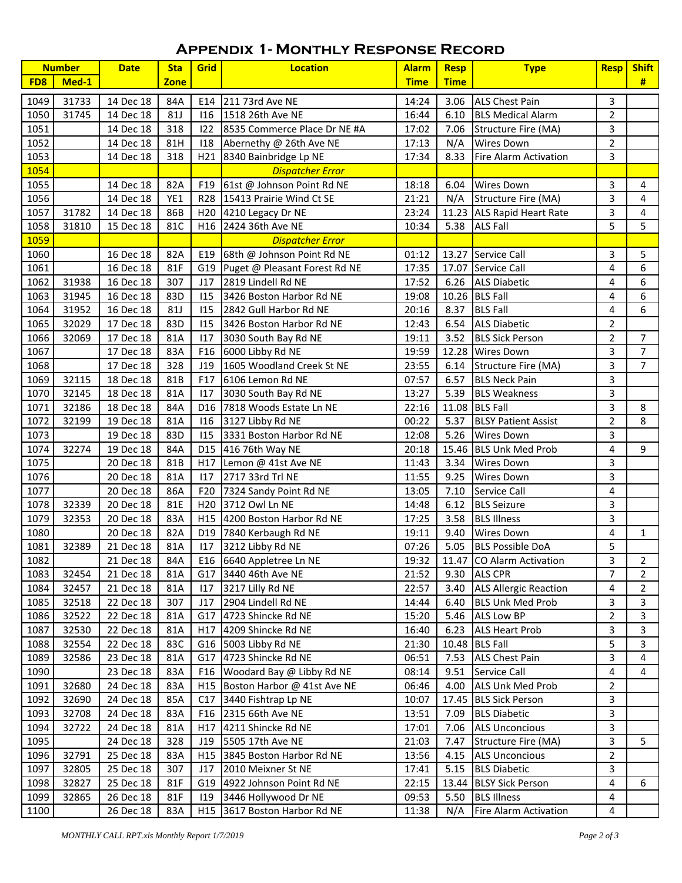## **Appendix 1- Monthly Response Record**

|                 | <b>Number</b> | <b>Date</b> | <b>Sta</b>  | Grid            | <b>Location</b>                   | <b>Alarm</b> | <b>Resp</b> | <b>Type</b>                     | <b>Resp</b>    | <b>Shift</b>   |
|-----------------|---------------|-------------|-------------|-----------------|-----------------------------------|--------------|-------------|---------------------------------|----------------|----------------|
| FD <sub>8</sub> | Med-1         |             | <b>Zone</b> |                 |                                   | <b>Time</b>  | <b>Time</b> |                                 |                | #              |
| 1049            | 31733         | 14 Dec 18   | 84A         | E14             | 211 73rd Ave NE                   | 14:24        | 3.06        | <b>ALS Chest Pain</b>           | 3              |                |
| 1050            | 31745         | 14 Dec 18   | 81J         | 116             | 1518 26th Ave NE                  | 16:44        | 6.10        | <b>BLS Medical Alarm</b>        | $\overline{2}$ |                |
| 1051            |               | 14 Dec 18   | 318         | 122             | 8535 Commerce Place Dr NE #A      | 17:02        | 7.06        | Structure Fire (MA)             | 3              |                |
| 1052            |               | 14 Dec 18   | 81H         | 118             | Abernethy @ 26th Ave NE           | 17:13        | N/A         | <b>Wires Down</b>               | $\overline{2}$ |                |
| 1053            |               | 14 Dec 18   | 318         |                 | H21 8340 Bainbridge Lp NE         | 17:34        | 8.33        | Fire Alarm Activation           | 3              |                |
| 1054            |               |             |             |                 | <b>Dispatcher Error</b>           |              |             |                                 |                |                |
| 1055            |               | 14 Dec 18   | 82A         | F <sub>19</sub> | 61st @ Johnson Point Rd NE        | 18:18        | 6.04        | <b>Wires Down</b>               | 3              | 4              |
| 1056            |               | 14 Dec 18   | YE1         |                 | R28 15413 Prairie Wind Ct SE      | 21:21        | N/A         | Structure Fire (MA)             | 3              | 4              |
| 1057            | 31782         | 14 Dec 18   | 86B         |                 | H <sub>20</sub> 4210 Legacy Dr NE | 23:24        |             | 11.23 ALS Rapid Heart Rate      | 3              | 4              |
| 1058            | 31810         | 15 Dec 18   | 81C         | H16             | 2424 36th Ave NE                  | 10:34        | 5.38        | <b>ALS Fall</b>                 | 5              | 5              |
| 1059            |               |             |             |                 | <b>Dispatcher Error</b>           |              |             |                                 |                |                |
| 1060            |               | 16 Dec 18   | 82A         | E19             | 68th @ Johnson Point Rd NE        | 01:12        |             | 13.27 Service Call              | 3              | 5              |
| 1061            |               | 16 Dec 18   | 81F         |                 | G19 Puget @ Pleasant Forest Rd NE | 17:35        | 17.07       | Service Call                    | 4              | 6              |
| 1062            | 31938         | 16 Dec 18   | 307         | J17             | 2819 Lindell Rd NE                | 17:52        | 6.26        | <b>ALS Diabetic</b>             | 4              | 6              |
| 1063            | 31945         | 16 Dec 18   | 83D         | 115             | 3426 Boston Harbor Rd NE          | 19:08        |             | 10.26 BLS Fall                  | 4              | 6              |
| 1064            | 31952         | 16 Dec 18   | 81J         | 115             | 2842 Gull Harbor Rd NE            | 20:16        | 8.37        | <b>BLS Fall</b>                 | 4              | 6              |
| 1065            | 32029         | 17 Dec 18   | 83D         | 115             | 3426 Boston Harbor Rd NE          | 12:43        | 6.54        | <b>ALS Diabetic</b>             | $\overline{2}$ |                |
| 1066            | 32069         | 17 Dec 18   | 81A         | 117             | 3030 South Bay Rd NE              | 19:11        | 3.52        | <b>BLS Sick Person</b>          | $\overline{2}$ | $\overline{7}$ |
| 1067            |               | 17 Dec 18   | 83A         | F16             | 6000 Libby Rd NE                  | 19:59        |             | 12.28 Wires Down                | 3              | $\overline{7}$ |
| 1068            |               | 17 Dec 18   | 328         | J19             | 1605 Woodland Creek St NE         | 23:55        | 6.14        | Structure Fire (MA)             | 3              | $\overline{7}$ |
| 1069            | 32115         | 18 Dec 18   | 81B         | F17             | 6106 Lemon Rd NE                  | 07:57        | 6.57        | <b>BLS Neck Pain</b>            | 3              |                |
| 1070            | 32145         | 18 Dec 18   | 81A         | 117             | 3030 South Bay Rd NE              | 13:27        | 5.39        | <b>BLS Weakness</b>             | 3              |                |
| 1071            | 32186         | 18 Dec 18   | 84A         | D16             | 7818 Woods Estate Ln NE           | 22:16        | 11.08       | <b>BLS Fall</b>                 | 3              | 8              |
| 1072            | 32199         | 19 Dec 18   | 81A         | 116             | 3127 Libby Rd NE                  | 00:22        | 5.37        | <b>BLSY Patient Assist</b>      | $\overline{2}$ | 8              |
| 1073            |               | 19 Dec 18   | 83D         | 115             | 3331 Boston Harbor Rd NE          | 12:08        | 5.26        | <b>Wires Down</b>               | 3              |                |
| 1074            | 32274         | 19 Dec 18   | 84A         | D <sub>15</sub> | 416 76th Way NE                   | 20:18        |             | 15.46 BLS Unk Med Prob          | 4              | 9              |
| 1075            |               | 20 Dec 18   | 81B         | H17             | Lemon @ 41st Ave NE               | 11:43        | 3.34        | <b>Wires Down</b>               | 3              |                |
| 1076            |               | 20 Dec 18   | 81A         | 117             | 2717 33rd Trl NE                  | 11:55        | 9.25        | <b>Wires Down</b>               | 3              |                |
| 1077            |               | 20 Dec 18   | 86A         | F <sub>20</sub> | 7324 Sandy Point Rd NE            | 13:05        | 7.10        | Service Call                    | 4              |                |
| 1078            | 32339         | 20 Dec 18   | 81E         | H <sub>20</sub> | 3712 Owl Ln NE                    | 14:48        | 6.12        | <b>BLS Seizure</b>              | 3              |                |
| 1079            | 32353         | 20 Dec 18   | 83A         |                 | H15 4200 Boston Harbor Rd NE      | 17:25        | 3.58        | <b>BLS Illness</b>              | 3              |                |
| 1080            |               | 20 Dec 18   | 82A         |                 | D19 7840 Kerbaugh Rd NE           | 19:11        | 9.40        | <b>Wires Down</b>               | $\overline{4}$ | $\mathbf{1}$   |
| 1081            | 32389         | 21 Dec 18   | 81A         | 117             | 3212 Libby Rd NE                  | 07:26        | 5.05        | <b>BLS Possible DoA</b>         | 5              |                |
| 1082            |               | 21 Dec 18   | 84A         |                 | E16 6640 Appletree Ln NE          |              |             | 19:32 11.47 CO Alarm Activation | 3              | $\overline{2}$ |
| 1083            | 32454         | 21 Dec 18   | 81A         | G17             | 3440 46th Ave NE                  | 21:52        | 9.30        | <b>ALS CPR</b>                  | $\overline{7}$ | $\overline{2}$ |
| 1084            | 32457         | 21 Dec 18   | 81A         | 117             | 3217 Lilly Rd NE                  | 22:57        | 3.40        | <b>ALS Allergic Reaction</b>    | 4              | $\overline{2}$ |
| 1085            | 32518         | 22 Dec 18   | 307         | J17             | 2904 Lindell Rd NE                | 14:44        | 6.40        | <b>BLS Unk Med Prob</b>         | 3              | 3              |
| 1086            | 32522         | 22 Dec 18   | 81A         | G17             | 4723 Shincke Rd NE                | 15:20        | 5.46        | <b>ALS Low BP</b>               | $\overline{2}$ | 3              |
| 1087            | 32530         | 22 Dec 18   | 81A         | H17             | 4209 Shincke Rd NE                | 16:40        | 6.23        | <b>ALS Heart Prob</b>           | 3              | 3              |
| 1088            | 32554         | 22 Dec 18   | 83C         |                 | G16 5003 Libby Rd NE              | 21:30        |             | 10.48 BLS Fall                  | 5              | 3              |
| 1089            | 32586         | 23 Dec 18   | 81A         | G17             | 4723 Shincke Rd NE                | 06:51        | 7.53        | <b>ALS Chest Pain</b>           | 3              | 4              |
| 1090            |               | 23 Dec 18   | 83A         | F <sub>16</sub> | Woodard Bay @ Libby Rd NE         | 08:14        | 9.51        | Service Call                    | 4              | 4              |
| 1091            | 32680         | 24 Dec 18   | 83A         | H <sub>15</sub> | Boston Harbor @ 41st Ave NE       | 06:46        | 4.00        | <b>ALS Unk Med Prob</b>         | $\overline{2}$ |                |
| 1092            | 32690         | 24 Dec 18   | 85A         | C17             | 3440 Fishtrap Lp NE               | 10:07        |             | 17.45 BLS Sick Person           | 3              |                |
| 1093            | 32708         | 24 Dec 18   | 83A         | F16             | 2315 66th Ave NE                  | 13:51        | 7.09        | <b>BLS Diabetic</b>             | 3              |                |
| 1094            | 32722         | 24 Dec 18   | 81A         | H17             | 4211 Shincke Rd NE                | 17:01        | 7.06        | <b>ALS Unconcious</b>           | 3              |                |
| 1095            |               | 24 Dec 18   | 328         | J19             | 5505 17th Ave NE                  | 21:03        | 7.47        | Structure Fire (MA)             | 3              | 5              |
| 1096            | 32791         | 25 Dec 18   | 83A         | H15             | 3845 Boston Harbor Rd NE          | 13:56        | 4.15        | <b>ALS Unconcious</b>           | $\overline{2}$ |                |
| 1097            | 32805         | 25 Dec 18   | 307         | J17             | 2010 Meixner St NE                | 17:41        | 5.15        | <b>BLS Diabetic</b>             | 3              |                |
| 1098            | 32827         | 25 Dec 18   | 81F         | G19             | 4922 Johnson Point Rd NE          | 22:15        |             | 13.44 BLSY Sick Person          | 4              | 6              |
| 1099            | 32865         | 26 Dec 18   | 81F         | 119             | 3446 Hollywood Dr NE              | 09:53        | 5.50        | <b>BLS Illness</b>              | 4              |                |
| 1100            |               | 26 Dec 18   | 83A         |                 | H15 3617 Boston Harbor Rd NE      | 11:38        | N/A         | <b>Fire Alarm Activation</b>    | 4              |                |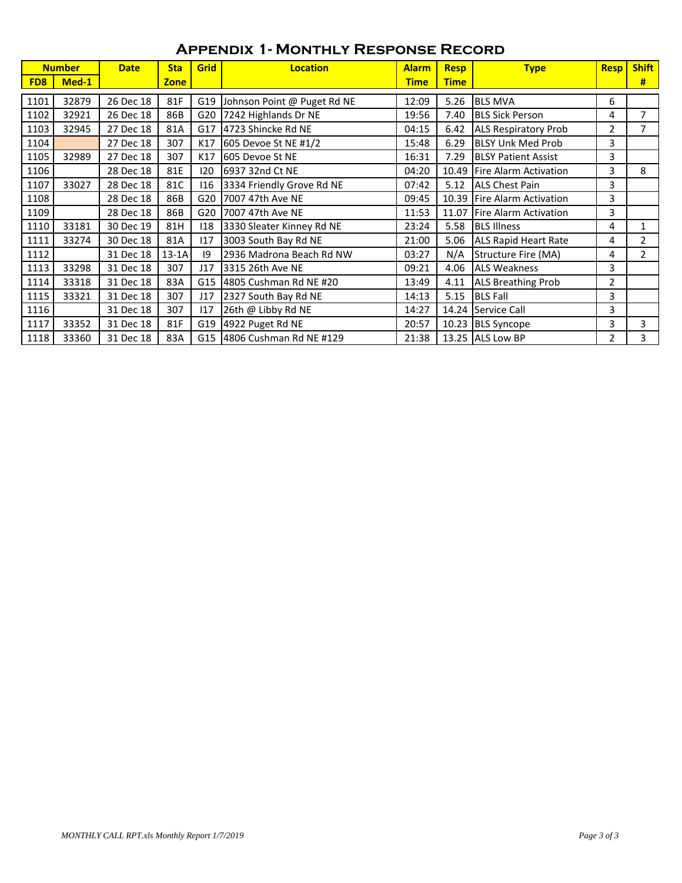| <b>Number</b>   |       | <b>Date</b> | <b>Sta</b>  | Grid | <b>Location</b>             | <b>Alarm</b> | <b>Resp</b> | <b>Type</b>                  | <b>Resp</b>    | <b>Shift</b>   |
|-----------------|-------|-------------|-------------|------|-----------------------------|--------------|-------------|------------------------------|----------------|----------------|
| FD <sub>8</sub> | Med-1 |             | <b>Zone</b> |      |                             | <b>Time</b>  | <b>Time</b> |                              |                | #              |
| 1101            | 32879 | 26 Dec 18   | 81F         | G19  | Johnson Point @ Puget Rd NE | 12:09        | 5.26        | <b>BLS MVA</b>               | 6              |                |
| 1102            | 32921 | 26 Dec 18   | 86B         | G20  | 7242 Highlands Dr NE        | 19:56        | 7.40        | <b>BLS Sick Person</b>       | 4              | $\overline{7}$ |
| 1103            | 32945 | 27 Dec 18   | 81A         | G17  | 4723 Shincke Rd NE          | 04:15        | 6.42        | <b>ALS Respiratory Prob</b>  | $\overline{2}$ |                |
| 1104            |       | 27 Dec 18   | 307         | K17  | 605 Devoe St NE #1/2        | 15:48        | 6.29        | <b>BLSY Unk Med Prob</b>     | 3              |                |
| 1105            | 32989 | 27 Dec 18   | 307         | K17  | <b>605 Devoe St NE</b>      | 16:31        | 7.29        | <b>BLSY Patient Assist</b>   | 3              |                |
| 1106            |       | 28 Dec 18   | 81E         | 120  | 6937 32nd Ct NE             | 04:20        | 10.49       | Fire Alarm Activation        | 3              | 8              |
| 1107            | 33027 | 28 Dec 18   | 81C         | 116  | 3334 Friendly Grove Rd NE   | 07:42        | 5.12        | <b>ALS Chest Pain</b>        | 3              |                |
| 1108            |       | 28 Dec 18   | 86B         | G20  | 7007 47th Ave NE            | 09:45        | 10.39       | Fire Alarm Activation        | 3              |                |
| 1109            |       | 28 Dec 18   | 86B         | G20  | <b>17007 47th Ave NE</b>    | 11:53        | 11.07       | <b>Fire Alarm Activation</b> | 3              |                |
| 1110            | 33181 | 30 Dec 19   | 81H         | 118  | 3330 Sleater Kinney Rd NE   | 23:24        | 5.58        | <b>BLS Illness</b>           | 4              | 1              |
| 1111            | 33274 | 30 Dec 18   | 81A         | 117  | 3003 South Bay Rd NE        | 21:00        | 5.06        | <b>ALS Rapid Heart Rate</b>  | 4              | $\overline{2}$ |
| 1112            |       | 31 Dec 18   | $13-1A$     | 9    | 2936 Madrona Beach Rd NW    | 03:27        | N/A         | Structure Fire (MA)          | 4              | $\overline{2}$ |
| 1113            | 33298 | 31 Dec 18   | 307         | J17  | 3315 26th Ave NE            | 09:21        | 4.06        | <b>ALS Weakness</b>          | 3              |                |
| 1114            | 33318 | 31 Dec 18   | 83A         | G15  | 4805 Cushman Rd NE #20      | 13:49        | 4.11        | <b>ALS Breathing Prob</b>    | 2              |                |
| 1115            | 33321 | 31 Dec 18   | 307         | J17  | 2327 South Bay Rd NE        | 14:13        | 5.15        | <b>BLS Fall</b>              | 3              |                |
| 1116            |       | 31 Dec 18   | 307         | 117  | 26th @ Libby Rd NE          | 14:27        | 14.24       | Service Call                 | 3              |                |
| 1117            | 33352 | 31 Dec 18   | 81F         | G19  | 4922 Puget Rd NE            | 20:57        |             | 10.23 BLS Syncope            | 3              | 3              |
| 1118            | 33360 | 31 Dec 18   | 83A         |      | G15 4806 Cushman Rd NE #129 | 21:38        |             | 13.25 ALS Low BP             | 2              | 3              |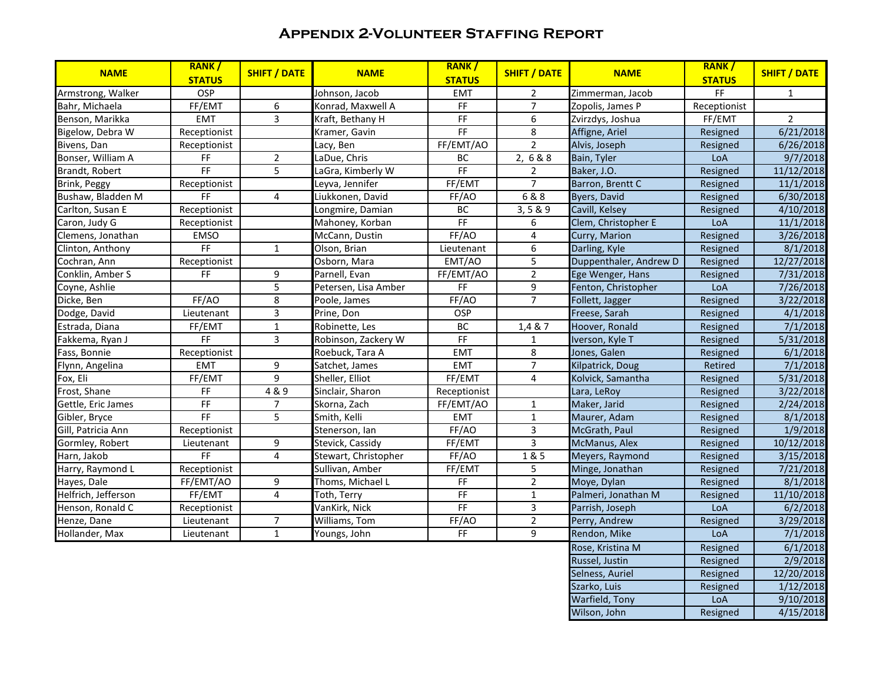## **Appendix 2-Volunteer Staffing Report**

| <b>NAME</b>         | RANK/<br><b>STATUS</b>                                                                         | <b>SHIFT / DATE</b>     | <b>NAME</b>          | RANK/<br><b>STATUS</b>                                                                         | <b>SHIFT / DATE</b>     | <b>NAME</b>            | RANK/<br><b>STATUS</b>       | <b>SHIFT / DATE</b> |
|---------------------|------------------------------------------------------------------------------------------------|-------------------------|----------------------|------------------------------------------------------------------------------------------------|-------------------------|------------------------|------------------------------|---------------------|
| Armstrong, Walker   | OSP                                                                                            |                         | Johnson, Jacob       | <b>EMT</b>                                                                                     | $\overline{2}$          | Zimmerman, Jacob       | $\mathsf{FF}% _{\mathsf{F}}$ | $\mathbf{1}$        |
| Bahr, Michaela      | FF/EMT                                                                                         | 6                       | Konrad, Maxwell A    | $\mathsf{FF}% _{\mathsf{F}}$                                                                   | $\overline{7}$          | Zopolis, James P       | Receptionist                 |                     |
| Benson, Marikka     | <b>EMT</b>                                                                                     | $\overline{3}$          | Kraft, Bethany H     | F                                                                                              | $\boldsymbol{6}$        | Zvirzdys, Joshua       | FF/EMT                       | $\overline{2}$      |
| Bigelow, Debra W    | Receptionist                                                                                   |                         | Kramer, Gavin        | F                                                                                              | 8                       | Affigne, Ariel         | Resigned                     | 6/21/2018           |
| Bivens, Dan         | Receptionist                                                                                   |                         | Lacy, Ben            | FF/EMT/AO                                                                                      | $\overline{2}$          | Alvis, Joseph          | Resigned                     | 6/26/2018           |
| Bonser, William A   | $\mathsf{FF}% _{\mathsf{F}}$                                                                   | $\boldsymbol{2}$        | LaDue, Chris         | BC                                                                                             | 2,6&8                   | Bain, Tyler            | LoA                          | 9/7/2018            |
| Brandt, Robert      | FF                                                                                             | $\overline{5}$          | LaGra, Kimberly W    | FF                                                                                             | 2                       | Baker, J.O.            | Resigned                     | 11/12/2018          |
| Brink, Peggy        | Receptionist                                                                                   |                         | Leyva, Jennifer      | FF/EMT                                                                                         | $\overline{7}$          | Barron, Brentt C       | Resigned                     | 11/1/2018           |
| Bushaw, Bladden M   | F                                                                                              | $\overline{4}$          | Liukkonen, David     | FF/AO                                                                                          | 6 & 8                   | Byers, David           | Resigned                     | 6/30/2018           |
| Carlton, Susan E    | Receptionist                                                                                   |                         | Longmire, Damian     | BC                                                                                             | 3, 5 & 9                | Cavill, Kelsey         | Resigned                     | 4/10/2018           |
| Caron, Judy G       | Receptionist                                                                                   |                         | Mahoney, Korban      | FF                                                                                             | 6                       | Clem, Christopher E    | LoA                          | 11/1/2018           |
| Clemens, Jonathan   | <b>EMSO</b>                                                                                    |                         | McCann, Dustin       | FF/AO                                                                                          | 4                       | Curry, Marion          | Resigned                     | 3/26/2018           |
| Clinton, Anthony    | $\mathsf{FF}% _{\mathsf{F}}$                                                                   | $\mathbf{1}$            | Olson, Brian         | Lieutenant                                                                                     | 6                       | Darling, Kyle          | Resigned                     | 8/1/2018            |
| Cochran, Ann        | Receptionist                                                                                   |                         | Osborn, Mara         | EMT/AO                                                                                         | $\overline{\mathbf{5}}$ | Duppenthaler, Andrew D | Resigned                     | 12/27/2018          |
| Conklin, Amber S    | FF.                                                                                            | 9                       | Parnell, Evan        | FF/EMT/AO                                                                                      | $\overline{2}$          | Ege Wenger, Hans       | Resigned                     | 7/31/2018           |
| Coyne, Ashlie       |                                                                                                | $\overline{5}$          | Petersen, Lisa Amber | FF                                                                                             | 9                       | Fenton, Christopher    | LoA                          | 7/26/2018           |
| Dicke, Ben          | FF/AO                                                                                          | 8                       | Poole, James         | FF/AO                                                                                          | $\overline{7}$          | Follett, Jagger        | Resigned                     | 3/22/2018           |
| Dodge, David        | Lieutenant                                                                                     | $\overline{3}$          | Prine, Don           | <b>OSP</b>                                                                                     |                         | Freese, Sarah          | Resigned                     | 4/1/2018            |
| Estrada, Diana      | FF/EMT                                                                                         | $\mathbf 1$             | Robinette, Les       | BC                                                                                             | 1,4 & 7                 | Hoover, Ronald         | Resigned                     | 7/1/2018            |
| Fakkema, Ryan J     | FF                                                                                             | 3                       | Robinson, Zackery W  | $\mathsf{FF}% _{\mathsf{F}}$                                                                   | $\mathbf{1}$            | Iverson, Kyle T        | Resigned                     | 5/31/2018           |
| Fass, Bonnie        | Receptionist                                                                                   |                         | Roebuck, Tara A      | <b>EMT</b>                                                                                     | $\bf 8$                 | Jones, Galen           | Resigned                     | 6/1/2018            |
| Flynn, Angelina     | <b>EMT</b>                                                                                     | 9                       | Satchet, James       | <b>EMT</b>                                                                                     | $\overline{7}$          | Kilpatrick, Doug       | Retired                      | 7/1/2018            |
| Fox, Eli            | FF/EMT                                                                                         | $\overline{9}$          | Sheller, Elliot      | FF/EMT                                                                                         | $\overline{4}$          | Kolvick, Samantha      | Resigned                     | 5/31/2018           |
| Frost, Shane        | $\mathsf{FF}% _{0}\left( \mathcal{F}_{0}\right) =\mathsf{FF}_{0}\left( \mathcal{F}_{0}\right)$ | 4 & 9                   | Sinclair, Sharon     | Receptionist                                                                                   |                         | Lara, LeRoy            | Resigned                     | 3/22/2018           |
| Gettle, Eric James  | F                                                                                              | $\boldsymbol{7}$        | Skorna, Zach         | FF/EMT/AO                                                                                      | $\mathbf{1}$            | Maker, Jarid           | Resigned                     | 2/24/2018           |
| Gibler, Bryce       | FF                                                                                             | $\overline{5}$          | Smith, Kelli         | <b>EMT</b>                                                                                     | $\mathbf{1}$            | Maurer, Adam           | Resigned                     | 8/1/2018            |
| Gill, Patricia Ann  | Receptionist                                                                                   |                         | Stenerson, Ian       | FF/AO                                                                                          | 3                       | McGrath, Paul          | Resigned                     | 1/9/2018            |
| Gormley, Robert     | Lieutenant                                                                                     | 9                       | Stevick, Cassidy     | FF/EMT                                                                                         | 3                       | McManus, Alex          | Resigned                     | 10/12/2018          |
| Harn, Jakob         | $\mathsf{FF}% _{0}$                                                                            | $\overline{4}$          | Stewart, Christopher | FF/AO                                                                                          | 1& 5                    | Meyers, Raymond        | Resigned                     | 3/15/2018           |
| Harry, Raymond L    | Receptionist                                                                                   |                         | Sullivan, Amber      | FF/EMT                                                                                         | 5                       | Minge, Jonathan        | Resigned                     | 7/21/2018           |
| Hayes, Dale         | FF/EMT/AO                                                                                      | 9                       | Thoms, Michael L     | $\mathsf{FF}% _{0}\left( \mathcal{F}_{0}\right) =\mathsf{FF}_{0}\left( \mathcal{F}_{0}\right)$ | $\overline{2}$          | Moye, Dylan            | Resigned                     | 8/1/2018            |
| Helfrich, Jefferson | FF/EMT                                                                                         | $\overline{\mathbf{4}}$ | Toth, Terry          | $\mathsf{FF}% _{0}$                                                                            | $\mathbf{1}$            | Palmeri, Jonathan M    | Resigned                     | 11/10/2018          |
| Henson, Ronald C    | Receptionist                                                                                   |                         | VanKirk, Nick        | F                                                                                              | 3                       | Parrish, Joseph        | LoA                          | 6/2/2018            |
| Henze, Dane         | Lieutenant                                                                                     | $\overline{7}$          | Williams, Tom        | FF/AO                                                                                          | $\overline{2}$          | Perry, Andrew          | Resigned                     | 3/29/2018           |
| Hollander, Max      | Lieutenant                                                                                     | $\mathbf 1$             | Youngs, John         | $\mathsf{FF}% _{\mathsf{F}}$                                                                   | 9                       | Rendon, Mike           | LoA                          | 7/1/2018            |
|                     |                                                                                                |                         |                      |                                                                                                |                         | Rose, Kristina M       | Resigned                     | 6/1/2018            |
|                     |                                                                                                |                         |                      |                                                                                                |                         | Russel, Justin         | Resigned                     | 2/9/2018            |
|                     |                                                                                                |                         |                      |                                                                                                |                         | Selness, Auriel        | Resigned                     | 12/20/2018          |
|                     |                                                                                                |                         |                      |                                                                                                |                         | Szarko, Luis           | Resigned                     | 1/12/2018           |
|                     |                                                                                                |                         |                      |                                                                                                |                         | Warfield, Tony         | LoA                          | 9/10/2018           |
|                     |                                                                                                |                         |                      |                                                                                                |                         | Wilson, John           | Resigned                     | 4/15/2018           |